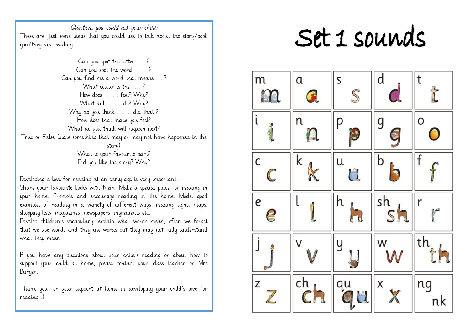Questions you could ask your child: These are just some ideas that you could use to talk about the story/book you/they are reading.

Can you spot the letter …. ? Can you spot the word …… ? Can you find me a word that means ….? What colour is the 2 How does ……. feel? Why? What did ……. do? Why? Why do you think ……. did that ? How does that make you feel? What do you think will happen next? True or False (state something that may or may not have happened in the story) What is your favourite part? Did you like the story? Why?

Developing a love for reading at an early age is very important.

Share your favourite books with them. Make a special place for reading in your home. Promote and encourage reading in the home. Model good examples of reading in a variety of different ways: reading signs, maps, shopping lists, magazines, newspapers, ingredients etc.

Develop children's vocabulary, explain what words mean, often we forget that we use words and they use words but they may not fully understand what they mean.

If you have any questions about your child's reading or about how to support your child at home, please contact your class teacher or Mrs Burger.

Thank you for your support at home in developing your child's love for reading :)

## Set 1 sounds

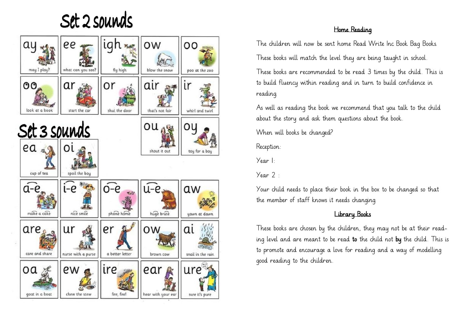Set 2 sounds



## Home Reading

The children will now be sent home Read Write Inc Book Bag Books. These books will match the level they are being taught in school.

These books are recommended to be read 3 times by the child. This is to build fluency within reading and in turn to build confidence in reading.

As well as reading the book we recommend that you talk to the child about the story and ask them questions about the book.

When will books be changed?

Reception:

Year 1:

 $Year 2$ 

Your child needs to place their book in the box to be changed so that the member of staff knows it needs changing.

## Library Books

These books are chosen by the children, they may not be at their reading level and are meant to be read to the child not by the child. This is to promote and encourage a love for reading and a way of modelling good reading to the children.